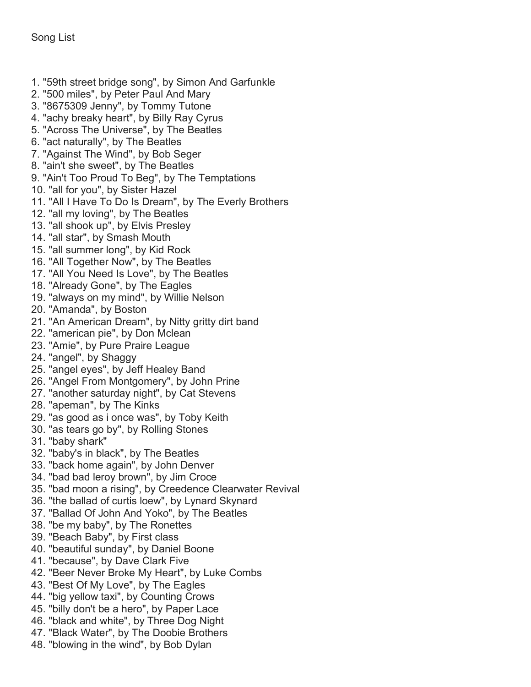- 1. "59th street bridge song", by Simon And Garfunkle
- 2. "500 miles", by Peter Paul And Mary
- 3. "8675309 Jenny", by Tommy Tutone
- 4. "achy breaky heart", by Billy Ray Cyrus
- 5. "Across The Universe", by The Beatles
- 6. "act naturally", by The Beatles
- 7. "Against The Wind", by Bob Seger
- 8. "ain't she sweet", by The Beatles
- 9. "Ain't Too Proud To Beg", by The Temptations
- 10. "all for you", by Sister Hazel
- 11. "All I Have To Do Is Dream", by The Everly Brothers
- 12. "all my loving", by The Beatles
- 13. "all shook up", by Elvis Presley
- 14. "all star", by Smash Mouth
- 15. "all summer long", by Kid Rock
- 16. "All Together Now", by The Beatles
- 17. "All You Need Is Love", by The Beatles
- 18. "Already Gone", by The Eagles
- 19. "always on my mind", by Willie Nelson
- 20. "Amanda", by Boston
- 21. "An American Dream", by Nitty gritty dirt band
- 22. "american pie", by Don Mclean
- 23. "Amie", by Pure Praire League
- 24. "angel", by Shaggy
- 25. "angel eyes", by Jeff Healey Band
- 26. "Angel From Montgomery", by John Prine
- 27. "another saturday night", by Cat Stevens
- 28. "apeman", by The Kinks
- 29. "as good as i once was", by Toby Keith
- 30. "as tears go by", by Rolling Stones
- 31. "baby shark"
- 32. "baby's in black", by The Beatles
- 33. "back home again", by John Denver
- 34. "bad bad leroy brown", by Jim Croce
- 35. "bad moon a rising", by Creedence Clearwater Revival
- 36. "the ballad of curtis loew", by Lynard Skynard
- 37. "Ballad Of John And Yoko", by The Beatles
- 38. "be my baby", by The Ronettes
- 39. "Beach Baby", by First class
- 40. "beautiful sunday", by Daniel Boone
- 41. "because", by Dave Clark Five
- 42. "Beer Never Broke My Heart", by Luke Combs
- 43. "Best Of My Love", by The Eagles
- 44. "big yellow taxi", by Counting Crows
- 45. "billy don't be a hero", by Paper Lace
- 46. "black and white", by Three Dog Night
- 47. "Black Water", by The Doobie Brothers
- 48. "blowing in the wind", by Bob Dylan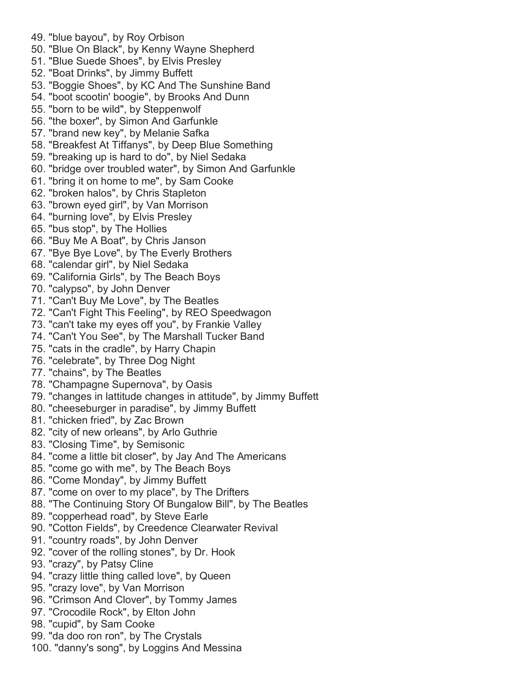- 49. "blue bayou", by Roy Orbison
- 50. "Blue On Black", by Kenny Wayne Shepherd
- 51. "Blue Suede Shoes", by Elvis Presley
- 52. "Boat Drinks", by Jimmy Buffett
- 53. "Boggie Shoes", by KC And The Sunshine Band
- 54. "boot scootin' boogie", by Brooks And Dunn
- 55. "born to be wild", by Steppenwolf
- 56. "the boxer", by Simon And Garfunkle
- 57. "brand new key", by Melanie Safka
- 58. "Breakfest At Tiffanys", by Deep Blue Something
- 59. "breaking up is hard to do", by Niel Sedaka
- 60. "bridge over troubled water", by Simon And Garfunkle
- 61. "bring it on home to me", by Sam Cooke
- 62. "broken halos", by Chris Stapleton
- 63. "brown eyed girl", by Van Morrison
- 64. "burning love", by Elvis Presley
- 65. "bus stop", by The Hollies
- 66. "Buy Me A Boat", by Chris Janson
- 67. "Bye Bye Love", by The Everly Brothers
- 68. "calendar girl", by Niel Sedaka
- 69. "California Girls", by The Beach Boys
- 70. "calypso", by John Denver
- 71. "Can't Buy Me Love", by The Beatles
- 72. "Can't Fight This Feeling", by REO Speedwagon
- 73. "can't take my eyes off you", by Frankie Valley
- 74. "Can't You See", by The Marshall Tucker Band
- 75. "cats in the cradle", by Harry Chapin
- 76. "celebrate", by Three Dog Night
- 77. "chains", by The Beatles
- 78. "Champagne Supernova", by Oasis
- 79. "changes in lattitude changes in attitude", by Jimmy Buffett
- 80. "cheeseburger in paradise", by Jimmy Buffett
- 81. "chicken fried", by Zac Brown
- 82. "city of new orleans", by Arlo Guthrie
- 83. "Closing Time", by Semisonic
- 84. "come a little bit closer", by Jay And The Americans
- 85. "come go with me", by The Beach Boys
- 86. "Come Monday", by Jimmy Buffett
- 87. "come on over to my place", by The Drifters
- 88. "The Continuing Story Of Bungalow Bill", by The Beatles
- 89. "copperhead road", by Steve Earle
- 90. "Cotton Fields", by Creedence Clearwater Revival
- 91. "country roads", by John Denver
- 92. "cover of the rolling stones", by Dr. Hook
- 93. "crazy", by Patsy Cline
- 94. "crazy little thing called love", by Queen
- 95. "crazy love", by Van Morrison
- 96. "Crimson And Clover", by Tommy James
- 97. "Crocodile Rock", by Elton John
- 98. "cupid", by Sam Cooke
- 99. "da doo ron ron", by The Crystals
- 100. "danny's song", by Loggins And Messina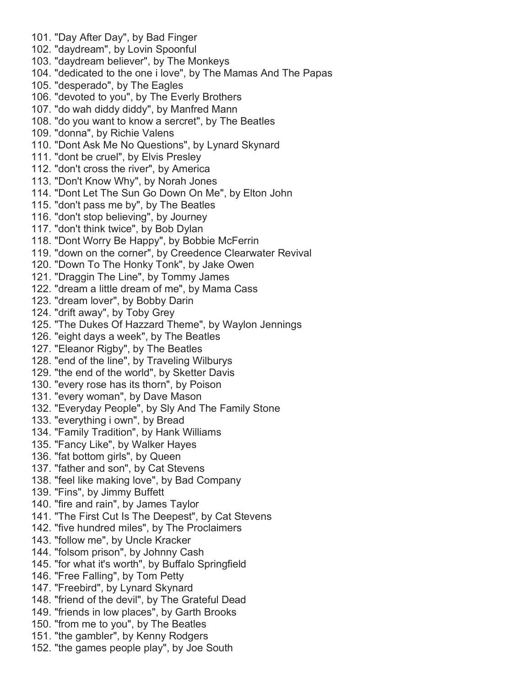- 101. "Day After Day", by Bad Finger 102. "daydream", by Lovin Spoonful 103. "daydream believer", by The Monkeys 104. "dedicated to the one i love", by The Mamas And The Papas 105. "desperado", by The Eagles 106. "devoted to you", by The Everly Brothers 107. "do wah diddy diddy", by Manfred Mann 108. "do you want to know a sercret", by The Beatles 109. "donna", by Richie Valens 110. "Dont Ask Me No Questions", by Lynard Skynard 111. "dont be cruel", by Elvis Presley 112. "don't cross the river", by America 113. "Don't Know Why", by Norah Jones 114. "Dont Let The Sun Go Down On Me", by Elton John 115. "don't pass me by", by The Beatles 116. "don't stop believing", by Journey 117. "don't think twice", by Bob Dylan 118. "Dont Worry Be Happy", by Bobbie McFerrin 119. "down on the corner", by Creedence Clearwater Revival 120. "Down To The Honky Tonk", by Jake Owen 121. "Draggin The Line", by Tommy James 122. "dream a little dream of me", by Mama Cass 123. "dream lover", by Bobby Darin 124. "drift away", by Toby Grey 125. "The Dukes Of Hazzard Theme", by Waylon Jennings 126. "eight days a week", by The Beatles 127. "Eleanor Rigby", by The Beatles 128. "end of the line", by Traveling Wilburys 129. "the end of the world", by Sketter Davis 130. "every rose has its thorn", by Poison 131. "every woman", by Dave Mason 132. "Everyday People", by Sly And The Family Stone 133. "everything i own", by Bread 134. "Family Tradition", by Hank Williams 135. "Fancy Like", by Walker Hayes 136. "fat bottom girls", by Queen 137. "father and son", by Cat Stevens 138. "feel like making love", by Bad Company 139. "Fins", by Jimmy Buffett 140. "fire and rain", by James Taylor 141. "The First Cut Is The Deepest", by Cat Stevens 142. "five hundred miles", by The Proclaimers 143. "follow me", by Uncle Kracker 144. "folsom prison", by Johnny Cash 145. "for what it's worth", by Buffalo Springfield 146. "Free Falling", by Tom Petty 147. "Freebird", by Lynard Skynard 148. "friend of the devil", by The Grateful Dead 149. "friends in low places", by Garth Brooks
	- 150. "from me to you", by The Beatles
	- 151. "the gambler", by Kenny Rodgers
	- 152. "the games people play", by Joe South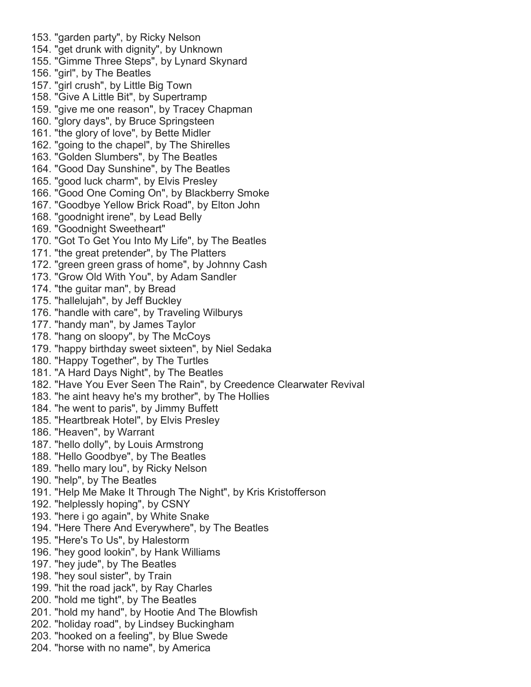- 153. "garden party", by Ricky Nelson 154. "get drunk with dignity", by Unknown 155. "Gimme Three Steps", by Lynard Skynard 156. "girl", by The Beatles 157. "girl crush", by Little Big Town 158. "Give A Little Bit", by Supertramp 159. "give me one reason", by Tracey Chapman 160. "glory days", by Bruce Springsteen 161. "the glory of love", by Bette Midler 162. "going to the chapel", by The Shirelles 163. "Golden Slumbers", by The Beatles 164. "Good Day Sunshine", by The Beatles 165. "good luck charm", by Elvis Presley 166. "Good One Coming On", by Blackberry Smoke 167. "Goodbye Yellow Brick Road", by Elton John 168. "goodnight irene", by Lead Belly 169. "Goodnight Sweetheart" 170. "Got To Get You Into My Life", by The Beatles 171. "the great pretender", by The Platters 172. "green green grass of home", by Johnny Cash 173. "Grow Old With You", by Adam Sandler 174. "the guitar man", by Bread 175. "hallelujah", by Jeff Buckley 176. "handle with care", by Traveling Wilburys 177. "handy man", by James Taylor 178. "hang on sloopy", by The McCoys 179. "happy birthday sweet sixteen", by Niel Sedaka 180. "Happy Together", by The Turtles 181. "A Hard Days Night", by The Beatles 182. "Have You Ever Seen The Rain", by Creedence Clearwater Revival 183. "he aint heavy he's my brother", by The Hollies 184. "he went to paris", by Jimmy Buffett 185. "Heartbreak Hotel", by Elvis Presley 186. "Heaven", by Warrant 187. "hello dolly", by Louis Armstrong 188. "Hello Goodbye", by The Beatles 189. "hello mary lou", by Ricky Nelson 190. "help", by The Beatles 191. "Help Me Make It Through The Night", by Kris Kristofferson 192. "helplessly hoping", by CSNY 193. "here i go again", by White Snake 194. "Here There And Everywhere", by The Beatles 195. "Here's To Us", by Halestorm 196. "hey good lookin", by Hank Williams 197. "hey jude", by The Beatles 198. "hey soul sister", by Train 199. "hit the road jack", by Ray Charles 200. "hold me tight", by The Beatles 201. "hold my hand", by Hootie And The Blowfish 202. "holiday road", by Lindsey Buckingham 203. "hooked on a feeling", by Blue Swede
- 204. "horse with no name", by America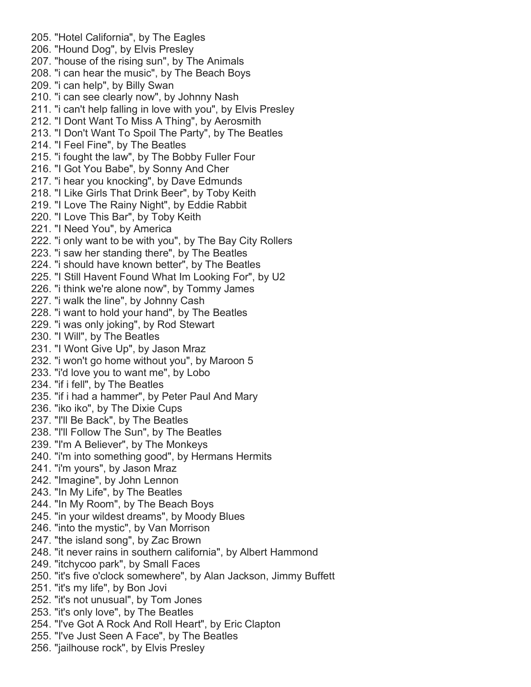- 205. "Hotel California", by The Eagles 206. "Hound Dog", by Elvis Presley 207. "house of the rising sun", by The Animals 208. "i can hear the music", by The Beach Boys 209. "i can help", by Billy Swan 210. "i can see clearly now", by Johnny Nash 211. "i can't help falling in love with you", by Elvis Presley 212. "I Dont Want To Miss A Thing", by Aerosmith 213. "I Don't Want To Spoil The Party", by The Beatles 214. "I Feel Fine", by The Beatles 215. "i fought the law", by The Bobby Fuller Four 216. "I Got You Babe", by Sonny And Cher 217. "i hear you knocking", by Dave Edmunds 218. "I Like Girls That Drink Beer", by Toby Keith 219. "I Love The Rainy Night", by Eddie Rabbit 220. "I Love This Bar", by Toby Keith 221. "I Need You", by America 222. "i only want to be with you", by The Bay City Rollers 223. "i saw her standing there", by The Beatles 224. "i should have known better", by The Beatles 225. "I Still Havent Found What Im Looking For", by U2 226. "i think we're alone now", by Tommy James 227. "i walk the line", by Johnny Cash 228. "i want to hold your hand", by The Beatles 229. "i was only joking", by Rod Stewart 230. "I Will", by The Beatles 231. "I Wont Give Up", by Jason Mraz 232. "i won't go home without you", by Maroon 5 233. "i'd love you to want me", by Lobo 234. "if i fell", by The Beatles 235. "if i had a hammer", by Peter Paul And Mary 236. "iko iko", by The Dixie Cups 237. "I'll Be Back", by The Beatles 238. "I'll Follow The Sun", by The Beatles 239. "I'm A Believer", by The Monkeys 240. "i'm into something good", by Hermans Hermits 241. "i'm yours", by Jason Mraz 242. "Imagine", by John Lennon 243. "In My Life", by The Beatles 244. "In My Room", by The Beach Boys 245. "in your wildest dreams", by Moody Blues 246. "into the mystic", by Van Morrison 247. "the island song", by Zac Brown 248. "it never rains in southern california", by Albert Hammond 249. "itchycoo park", by Small Faces 250. "it's five o'clock somewhere", by Alan Jackson, Jimmy Buffett 251. "it's my life", by Bon Jovi 252. "it's not unusual", by Tom Jones 253. "it's only love", by The Beatles 254. "I've Got A Rock And Roll Heart", by Eric Clapton 255. "I've Just Seen A Face", by The Beatles
- 256. "jailhouse rock", by Elvis Presley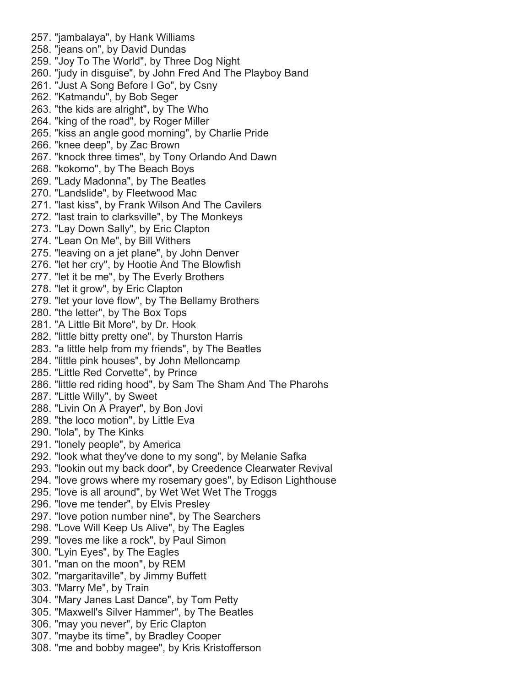257. "jambalaya", by Hank Williams 258. "jeans on", by David Dundas 259. "Joy To The World", by Three Dog Night 260. "judy in disguise", by John Fred And The Playboy Band 261. "Just A Song Before I Go", by Csny 262. "Katmandu", by Bob Seger 263. "the kids are alright", by The Who 264. "king of the road", by Roger Miller 265. "kiss an angle good morning", by Charlie Pride 266. "knee deep", by Zac Brown 267. "knock three times", by Tony Orlando And Dawn 268. "kokomo", by The Beach Boys 269. "Lady Madonna", by The Beatles 270. "Landslide", by Fleetwood Mac 271. "last kiss", by Frank Wilson And The Cavilers 272. "last train to clarksville", by The Monkeys 273. "Lay Down Sally", by Eric Clapton 274. "Lean On Me", by Bill Withers 275. "leaving on a jet plane", by John Denver 276. "let her cry", by Hootie And The Blowfish 277. "let it be me", by The Everly Brothers 278. "let it grow", by Eric Clapton 279. "let your love flow", by The Bellamy Brothers 280. "the letter", by The Box Tops 281. "A Little Bit More", by Dr. Hook 282. "little bitty pretty one", by Thurston Harris 283. "a little help from my friends", by The Beatles 284. "little pink houses", by John Melloncamp 285. "Little Red Corvette", by Prince 286. "little red riding hood", by Sam The Sham And The Pharohs 287. "Little Willy", by Sweet 288. "Livin On A Prayer", by Bon Jovi 289. "the loco motion", by Little Eva 290. "lola", by The Kinks 291. "lonely people", by America 292. "look what they've done to my song", by Melanie Safka 293. "lookin out my back door", by Creedence Clearwater Revival 294. "love grows where my rosemary goes", by Edison Lighthouse 295. "love is all around", by Wet Wet Wet The Troggs 296. "love me tender", by Elvis Presley 297. "love potion number nine", by The Searchers 298. "Love Will Keep Us Alive", by The Eagles 299. "loves me like a rock", by Paul Simon 300. "Lyin Eyes", by The Eagles 301. "man on the moon", by REM 302. "margaritaville", by Jimmy Buffett 303. "Marry Me", by Train 304. "Mary Janes Last Dance", by Tom Petty 305. "Maxwell's Silver Hammer", by The Beatles 306. "may you never", by Eric Clapton 307. "maybe its time", by Bradley Cooper 308. "me and bobby magee", by Kris Kristofferson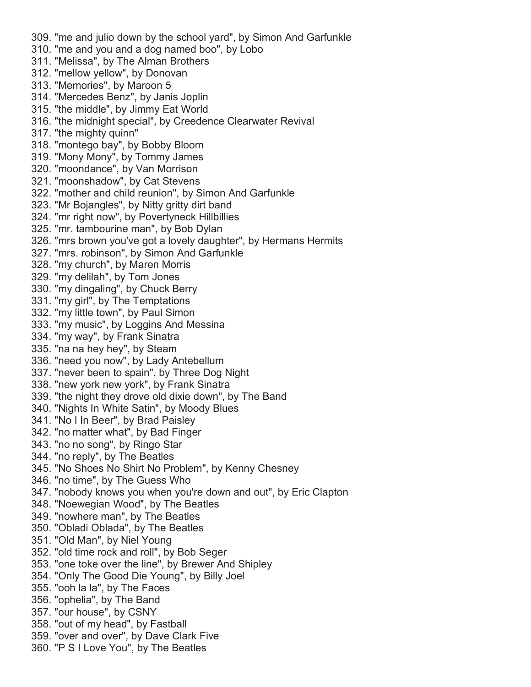309. "me and julio down by the school yard", by Simon And Garfunkle 310. "me and you and a dog named boo", by Lobo 311. "Melissa", by The Alman Brothers 312. "mellow yellow", by Donovan 313. "Memories", by Maroon 5 314. "Mercedes Benz", by Janis Joplin 315. "the middle", by Jimmy Eat World 316. "the midnight special", by Creedence Clearwater Revival 317. "the mighty quinn" 318. "montego bay", by Bobby Bloom 319. "Mony Mony", by Tommy James 320. "moondance", by Van Morrison 321. "moonshadow", by Cat Stevens 322. "mother and child reunion", by Simon And Garfunkle 323. "Mr Bojangles", by Nitty gritty dirt band 324. "mr right now", by Povertyneck Hillbillies 325. "mr. tambourine man", by Bob Dylan 326. "mrs brown you've got a lovely daughter", by Hermans Hermits 327. "mrs. robinson", by Simon And Garfunkle 328. "my church", by Maren Morris 329. "my delilah", by Tom Jones 330. "my dingaling", by Chuck Berry 331. "my girl", by The Temptations 332. "my little town", by Paul Simon 333. "my music", by Loggins And Messina 334. "my way", by Frank Sinatra 335. "na na hey hey", by Steam 336. "need you now", by Lady Antebellum 337. "never been to spain", by Three Dog Night 338. "new york new york", by Frank Sinatra 339. "the night they drove old dixie down", by The Band 340. "Nights In White Satin", by Moody Blues 341. "No I In Beer", by Brad Paisley 342. "no matter what", by Bad Finger 343. "no no song", by Ringo Star 344. "no reply", by The Beatles 345. "No Shoes No Shirt No Problem", by Kenny Chesney 346. "no time", by The Guess Who 347. "nobody knows you when you're down and out", by Eric Clapton 348. "Noewegian Wood", by The Beatles 349. "nowhere man", by The Beatles 350. "Obladi Oblada", by The Beatles 351. "Old Man", by Niel Young 352. "old time rock and roll", by Bob Seger 353. "one toke over the line", by Brewer And Shipley 354. "Only The Good Die Young", by Billy Joel 355. "ooh la la", by The Faces 356. "ophelia", by The Band 357. "our house", by CSNY 358. "out of my head", by Fastball 359. "over and over", by Dave Clark Five 360. "P S I Love You", by The Beatles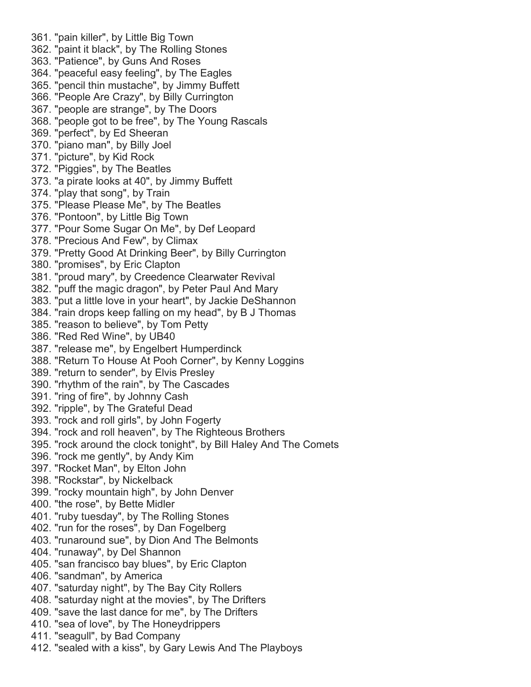361. "pain killer", by Little Big Town 362. "paint it black", by The Rolling Stones 363. "Patience", by Guns And Roses 364. "peaceful easy feeling", by The Eagles 365. "pencil thin mustache", by Jimmy Buffett 366. "People Are Crazy", by Billy Currington 367. "people are strange", by The Doors 368. "people got to be free", by The Young Rascals 369. "perfect", by Ed Sheeran 370. "piano man", by Billy Joel 371. "picture", by Kid Rock 372. "Piggies", by The Beatles 373. "a pirate looks at 40", by Jimmy Buffett 374. "play that song", by Train 375. "Please Please Me", by The Beatles 376. "Pontoon", by Little Big Town 377. "Pour Some Sugar On Me", by Def Leopard 378. "Precious And Few", by Climax 379. "Pretty Good At Drinking Beer", by Billy Currington 380. "promises", by Eric Clapton 381. "proud mary", by Creedence Clearwater Revival 382. "puff the magic dragon", by Peter Paul And Mary 383. "put a little love in your heart", by Jackie DeShannon 384. "rain drops keep falling on my head", by B J Thomas 385. "reason to believe", by Tom Petty 386. "Red Red Wine", by UB40 387. "release me", by Engelbert Humperdinck 388. "Return To House At Pooh Corner", by Kenny Loggins 389. "return to sender", by Elvis Presley 390. "rhythm of the rain", by The Cascades 391. "ring of fire", by Johnny Cash 392. "ripple", by The Grateful Dead 393. "rock and roll girls", by John Fogerty 394. "rock and roll heaven", by The Righteous Brothers 395. "rock around the clock tonight", by Bill Haley And The Comets 396. "rock me gently", by Andy Kim 397. "Rocket Man", by Elton John 398. "Rockstar", by Nickelback 399. "rocky mountain high", by John Denver 400. "the rose", by Bette Midler 401. "ruby tuesday", by The Rolling Stones 402. "run for the roses", by Dan Fogelberg 403. "runaround sue", by Dion And The Belmonts 404. "runaway", by Del Shannon 405. "san francisco bay blues", by Eric Clapton 406. "sandman", by America 407. "saturday night", by The Bay City Rollers 408. "saturday night at the movies", by The Drifters 409. "save the last dance for me", by The Drifters 410. "sea of love", by The Honeydrippers 411. "seagull", by Bad Company 412. "sealed with a kiss", by Gary Lewis And The Playboys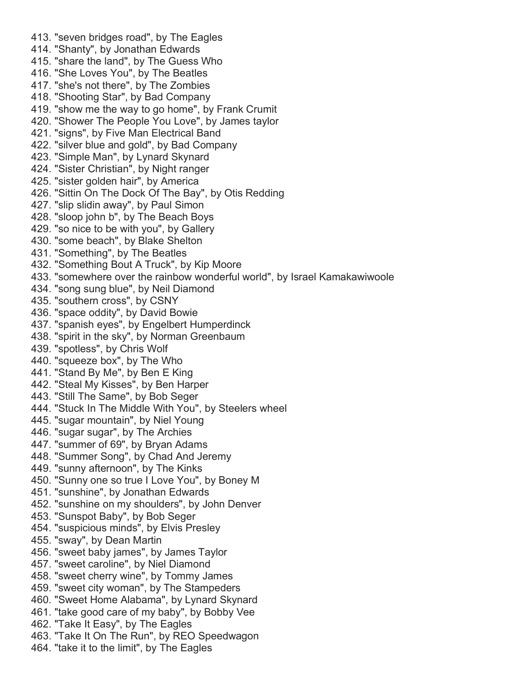413. "seven bridges road", by The Eagles 414. "Shanty", by Jonathan Edwards 415. "share the land", by The Guess Who 416. "She Loves You", by The Beatles 417. "she's not there", by The Zombies 418. "Shooting Star", by Bad Company 419. "show me the way to go home", by Frank Crumit 420. "Shower The People You Love", by James taylor 421. "signs", by Five Man Electrical Band 422. "silver blue and gold", by Bad Company 423. "Simple Man", by Lynard Skynard 424. "Sister Christian", by Night ranger 425. "sister golden hair", by America 426. "Sittin On The Dock Of The Bay", by Otis Redding 427. "slip slidin away", by Paul Simon 428. "sloop john b", by The Beach Boys 429. "so nice to be with you", by Gallery 430. "some beach", by Blake Shelton 431. "Something", by The Beatles 432. "Something Bout A Truck", by Kip Moore 433. "somewhere over the rainbow wonderful world", by Israel Kamakawiwoole 434. "song sung blue", by Neil Diamond 435. "southern cross", by CSNY 436. "space oddity", by David Bowie 437. "spanish eyes", by Engelbert Humperdinck 438. "spirit in the sky", by Norman Greenbaum 439. "spotless", by Chris Wolf 440. "squeeze box", by The Who 441. "Stand By Me", by Ben E King 442. "Steal My Kisses", by Ben Harper 443. "Still The Same", by Bob Seger 444. "Stuck In The Middle With You", by Steelers wheel 445. "sugar mountain", by Niel Young 446. "sugar sugar", by The Archies 447. "summer of 69", by Bryan Adams 448. "Summer Song", by Chad And Jeremy 449. "sunny afternoon", by The Kinks 450. "Sunny one so true I Love You", by Boney M 451. "sunshine", by Jonathan Edwards 452. "sunshine on my shoulders", by John Denver 453. "Sunspot Baby", by Bob Seger 454. "suspicious minds", by Elvis Presley 455. "sway", by Dean Martin 456. "sweet baby james", by James Taylor 457. "sweet caroline", by Niel Diamond 458. "sweet cherry wine", by Tommy James 459. "sweet city woman", by The Stampeders 460. "Sweet Home Alabama", by Lynard Skynard 461. "take good care of my baby", by Bobby Vee 462. "Take It Easy", by The Eagles 463. "Take It On The Run", by REO Speedwagon 464. "take it to the limit", by The Eagles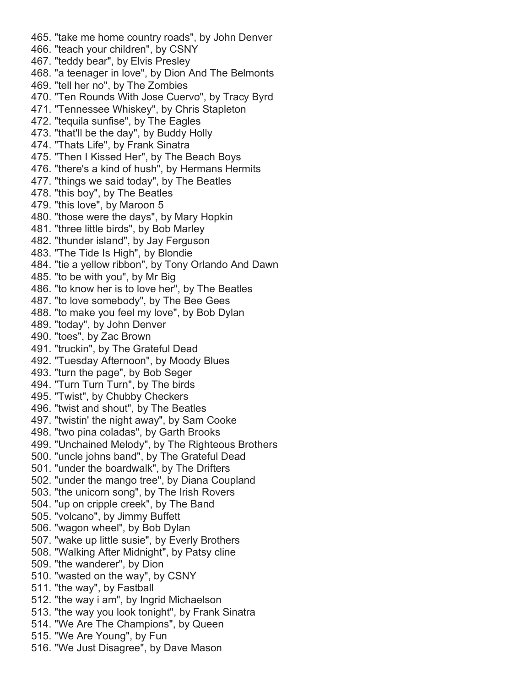465. "take me home country roads", by John Denver 466. "teach your children", by CSNY 467. "teddy bear", by Elvis Presley 468. "a teenager in love", by Dion And The Belmonts 469. "tell her no", by The Zombies 470. "Ten Rounds With Jose Cuervo", by Tracy Byrd 471. "Tennessee Whiskey", by Chris Stapleton 472. "tequila sunfise", by The Eagles 473. "that'll be the day", by Buddy Holly 474. "Thats Life", by Frank Sinatra 475. "Then I Kissed Her", by The Beach Boys 476. "there's a kind of hush", by Hermans Hermits 477. "things we said today", by The Beatles 478. "this boy", by The Beatles 479. "this love", by Maroon 5 480. "those were the days", by Mary Hopkin 481. "three little birds", by Bob Marley 482. "thunder island", by Jay Ferguson 483. "The Tide Is High", by Blondie 484. "tie a yellow ribbon", by Tony Orlando And Dawn 485. "to be with you", by Mr Big 486. "to know her is to love her", by The Beatles 487. "to love somebody", by The Bee Gees 488. "to make you feel my love", by Bob Dylan 489. "today", by John Denver 490. "toes", by Zac Brown 491. "truckin", by The Grateful Dead 492. "Tuesday Afternoon", by Moody Blues 493. "turn the page", by Bob Seger 494. "Turn Turn Turn", by The birds 495. "Twist", by Chubby Checkers 496. "twist and shout", by The Beatles 497. "twistin' the night away", by Sam Cooke 498. "two pina coladas", by Garth Brooks 499. "Unchained Melody", by The Righteous Brothers 500. "uncle johns band", by The Grateful Dead 501. "under the boardwalk", by The Drifters 502. "under the mango tree", by Diana Coupland 503. "the unicorn song", by The Irish Rovers 504. "up on cripple creek", by The Band 505. "volcano", by Jimmy Buffett 506. "wagon wheel", by Bob Dylan 507. "wake up little susie", by Everly Brothers 508. "Walking After Midnight", by Patsy cline 509. "the wanderer", by Dion 510. "wasted on the way", by CSNY 511. "the way", by Fastball 512. "the way i am", by Ingrid Michaelson 513. "the way you look tonight", by Frank Sinatra 514. "We Are The Champions", by Queen 515. "We Are Young", by Fun 516. "We Just Disagree", by Dave Mason